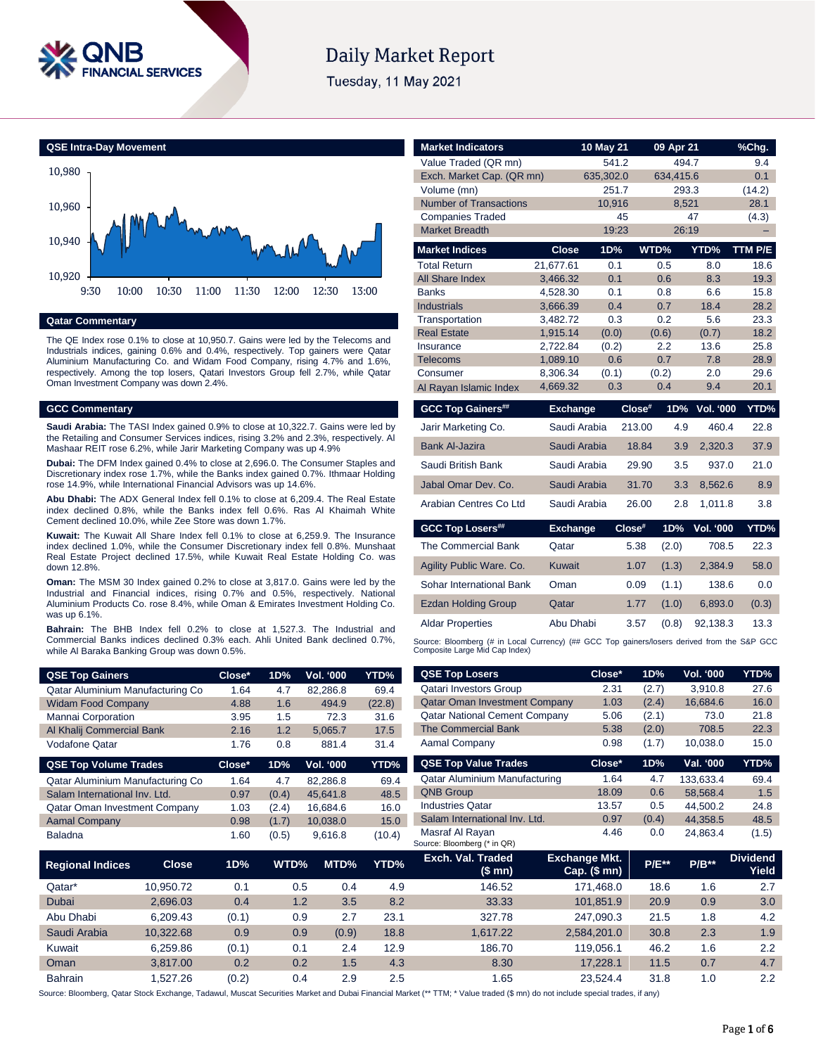

# **Daily Market Report**

Tuesday, 11 May 2021

**QSE Intra-Day Movement**



### **Qatar Commentary**

The QE Index rose 0.1% to close at 10,950.7. Gains were led by the Telecoms and Industrials indices, gaining 0.6% and 0.4%, respectively. Top gainers were Qatar Aluminium Manufacturing Co. and Widam Food Company, rising 4.7% and 1.6%, respectively. Among the top losers, Qatari Investors Group fell 2.7%, while Qatar Oman Investment Company was down 2.4%.

### **GCC Commentary**

**Saudi Arabia:** The TASI Index gained 0.9% to close at 10,322.7. Gains were led by the Retailing and Consumer Services indices, rising 3.2% and 2.3%, respectively. Al Mashaar REIT rose 6.2%, while Jarir Marketing Company was up 4.9%

**Dubai:** The DFM Index gained 0.4% to close at 2,696.0. The Consumer Staples and Discretionary index rose 1.7%, while the Banks index gained 0.7%. Ithmaar Holding rose 14.9%, while International Financial Advisors was up 14.6%.

**Abu Dhabi:** The ADX General Index fell 0.1% to close at 6,209.4. The Real Estate index declined 0.8%, while the Banks index fell 0.6%. Ras Al Khaimah White Cement declined 10.0%, while Zee Store was down 1.7%.

**Kuwait:** The Kuwait All Share Index fell 0.1% to close at 6,259.9. The Insurance index declined 1.0%, while the Consumer Discretionary index fell 0.8%. Munshaat Real Estate Project declined 17.5%, while Kuwait Real Estate Holding Co. was down 12.8%

**Oman:** The MSM 30 Index gained 0.2% to close at 3,817.0. Gains were led by the Industrial and Financial indices, rising 0.7% and 0.5%, respectively. National Aluminium Products Co. rose 8.4%, while Oman & Emirates Investment Holding Co. was up 6.1%.

**Bahrain:** The BHB Index fell 0.2% to close at 1,527.3. The Industrial and Commercial Banks indices declined 0.3% each. Ahli United Bank declined 0.7%, while Al Baraka Banking Group was down 0.5%.

| <b>QSE Top Gainers</b>               | Close* | 1D%   | <b>Vol. '000</b> | YTD%   |
|--------------------------------------|--------|-------|------------------|--------|
| Qatar Aluminium Manufacturing Co     | 1.64   | 4.7   | 82.286.8         | 69.4   |
| <b>Widam Food Company</b>            | 4.88   | 1.6   | 494.9            | (22.8) |
| <b>Mannai Corporation</b>            | 3.95   | 1.5   | 72.3             | 31.6   |
| Al Khalij Commercial Bank            | 2.16   | 1.2   | 5.065.7          | 17.5   |
| Vodafone Qatar                       | 1.76   | 0.8   | 881.4            | 31.4   |
|                                      |        |       |                  |        |
| <b>QSE Top Volume Trades</b>         | Close* | 1D%   | <b>Vol. '000</b> | YTD%   |
| Qatar Aluminium Manufacturing Co     | 1.64   | 4.7   | 82.286.8         | 69.4   |
| Salam International Inv. Ltd.        | 0.97   | (0.4) | 45.641.8         | 48.5   |
| <b>Qatar Oman Investment Company</b> | 1.03   | (2.4) | 16.684.6         | 16.0   |
| <b>Aamal Company</b>                 | 0.98   | (1.7) | 10.038.0         | 15.0   |

| <b>Market Indicators</b>                                                                                                      |                      | 10 May 21    |        | 09 Apr 21    |                  | %Chg.        |
|-------------------------------------------------------------------------------------------------------------------------------|----------------------|--------------|--------|--------------|------------------|--------------|
| Value Traded (QR mn)                                                                                                          |                      | 541.2        |        | 494.7        |                  | 9.4          |
| Exch. Market Cap. (QR mn)                                                                                                     |                      | 635,302.0    |        | 634,415.6    |                  | 0.1          |
| Volume (mn)                                                                                                                   |                      | 251.7        |        | 293.3        |                  | (14.2)       |
| <b>Number of Transactions</b>                                                                                                 |                      | 10,916       |        | 8,521        |                  | 28.1         |
| <b>Companies Traded</b>                                                                                                       |                      |              | 45     |              | 47               | (4.3)        |
| <b>Market Breadth</b>                                                                                                         |                      | 19:23        |        | 26:19        |                  |              |
| <b>Market Indices</b>                                                                                                         | <b>Close</b>         | 1D%          |        | WTD%         | YTD%             | TTM P/E      |
| <b>Total Return</b>                                                                                                           | 21,677.61            | 0.1          |        | 0.5          | 8.0              | 18.6         |
| <b>All Share Index</b>                                                                                                        | 3,466.32             | 0.1          |        | 0.6          | 8.3              | 19.3         |
| <b>Banks</b>                                                                                                                  | 4,528.30             | 0.1          |        | 0.8          | 6.6              | 15.8         |
| <b>Industrials</b>                                                                                                            | 3,666.39             | 0.4          |        | 0.7          | 18.4             | 28.2         |
| Transportation                                                                                                                | 3,482.72             | 0.3          |        | 0.2          | 5.6              | 23.3         |
| <b>Real Estate</b>                                                                                                            | 1,915.14<br>2.722.84 | (0.0)        |        | (0.6)<br>2.2 | (0.7)<br>13.6    | 18.2<br>25.8 |
| Insurance<br><b>Telecoms</b>                                                                                                  | 1,089.10             | (0.2)<br>0.6 |        | 0.7          | 7.8              | 28.9         |
| Consumer                                                                                                                      | 8,306.34             | (0.1)        |        | (0.2)        | 2.0              | 29.6         |
| Al Rayan Islamic Index                                                                                                        | 4,669.32             | 0.3          |        | 0.4          | 9.4              | 20.1         |
|                                                                                                                               |                      |              |        |              |                  |              |
| <b>GCC Top Gainers##</b>                                                                                                      | <b>Exchange</b>      |              | Close# | 1D%          | <b>Vol. '000</b> | YTD%         |
| Jarir Marketing Co.                                                                                                           | Saudi Arabia         |              | 213.00 | 4.9          | 460.4            | 22.8         |
| <b>Bank Al-Jazira</b>                                                                                                         | Saudi Arabia         |              | 18.84  | 3.9          | 2,320.3          | 37.9         |
| Saudi British Bank                                                                                                            | Saudi Arabia         |              | 29.90  | 3.5          | 937.0            | 21.0         |
| Jabal Omar Dev. Co.                                                                                                           | Saudi Arabia         |              | 31.70  | 3.3          | 8,562.6          | 8.9          |
| Arabian Centres Co Ltd                                                                                                        | Saudi Arabia         |              | 26.00  | 2.8          | 1,011.8          | 3.8          |
| <b>GCC Top Losers##</b>                                                                                                       | <b>Exchange</b>      |              | Close# | 1D%          | <b>Vol. '000</b> | YTD%         |
| The Commercial Bank                                                                                                           | Qatar                |              | 5.38   | (2.0)        | 708.5            | 22.3         |
| Agility Public Ware. Co.                                                                                                      | <b>Kuwait</b>        |              | 1.07   | (1.3)        | 2,384.9          | 58.0         |
| Sohar International Bank                                                                                                      | Oman                 |              | 0.09   | (1.1)        | 138.6            | 0.0          |
| <b>Ezdan Holding Group</b>                                                                                                    | Qatar                |              | 1.77   | (1.0)        | 6,893.0          | (0.3)        |
| <b>Aldar Properties</b>                                                                                                       | Abu Dhabi            |              | 3.57   | (0.8)        | 92,138.3         | 13.3         |
| Source: Bloomberg (# in Local Currency) (## GCC Top gainers/losers derived from the S&P GCC<br>Composite Large Mid Cap Index) |                      |              |        |              |                  |              |
| <b>QSE Top Losers</b>                                                                                                         |                      | Close*       | 1D%    |              | <b>Vol. '000</b> | YTD%         |
| <b>Qatari Investors Group</b>                                                                                                 |                      | 2.31         | (2.7)  |              | 3,910.8          | 27.6         |
| Oatar Oman Investment Company                                                                                                 |                      | 1.03         | (24)   |              | 166846           | 160          |

| Qatar Aluminium Manufacturing Co |           | 1.64   | 4.7   | 82,286.8         | 69.4   | <b>Qatari Investors Group</b>                  | 2.31                                 | (2.7)        | 3,910.8   | 27.6                     |
|----------------------------------|-----------|--------|-------|------------------|--------|------------------------------------------------|--------------------------------------|--------------|-----------|--------------------------|
| <b>Widam Food Company</b>        |           | 4.88   | 1.6   | 494.9            | (22.8) | <b>Qatar Oman Investment Company</b>           | 1.03                                 | (2.4)        | 16,684.6  | 16.0                     |
| Mannai Corporation               |           | 3.95   | 1.5   | 72.3             | 31.6   | <b>Qatar National Cement Company</b>           | 5.06                                 | (2.1)        | 73.0      | 21.8                     |
| Al Khalij Commercial Bank        |           | 2.16   | 1.2   | 5,065.7          | 17.5   | <b>The Commercial Bank</b>                     | 5.38                                 | (2.0)        | 708.5     | 22.3                     |
| Vodafone Qatar                   |           | 1.76   | 0.8   | 881.4            | 31.4   | Aamal Company                                  | 0.98                                 | (1.7)        | 10,038.0  | 15.0                     |
| <b>QSE Top Volume Trades</b>     |           | Close* | 1D%   | <b>Vol. '000</b> | YTD%   | <b>QSE Top Value Trades</b>                    | Close*                               | 1D%          | Val. '000 | YTD%                     |
| Qatar Aluminium Manufacturing Co |           | 1.64   | 4.7   | 82,286.8         | 69.4   | Qatar Aluminium Manufacturing                  | 1.64                                 | 4.7          | 133,633.4 | 69.4                     |
| Salam International Inv. Ltd.    |           | 0.97   | (0.4) | 45,641.8         | 48.5   | <b>QNB Group</b>                               | 18.09                                | 0.6          | 58,568.4  | 1.5                      |
| Qatar Oman Investment Company    |           | 1.03   | (2.4) | 16.684.6         | 16.0   | <b>Industries Qatar</b>                        | 13.57                                | 0.5          | 44,500.2  | 24.8                     |
| <b>Aamal Company</b>             |           | 0.98   | (1.7) | 10,038.0         | 15.0   | Salam International Inv. Ltd.                  | 0.97                                 | (0.4)        | 44,358.5  | 48.5                     |
| Baladna                          |           | 1.60   | (0.5) | 9,616.8          | (10.4) | Masraf Al Rayan<br>Source: Bloomberg (* in QR) | 4.46                                 | 0.0          | 24,863.4  | (1.5)                    |
| Regional Indices                 | Close     | 1D%    | WTD%  | MTD%             | YTD%   | Exch. Val. Traded<br>(\$mn)                    | <b>Exchange Mkt.</b><br>Cap. $($mn)$ | <b>P/E**</b> | $P/B***$  | <b>Dividend</b><br>Yield |
| Qatar*                           | 10,950.72 | 0.1    | 0.5   | 0.4              | 4.9    | 146.52                                         | 171,468.0                            | 18.6         | 1.6       | 2.7                      |
| Dubai                            | 2,696.03  | 0.4    | 1.2   | 3.5              | 8.2    | 33.33                                          | 101,851.9                            | 20.9         | 0.9       | 3.0                      |
| Abu Dhabi                        | 6,209.43  | (0.1)  | 0.9   | 2.7              | 23.1   | 327.78                                         | 247,090.3                            | 21.5         | 1.8       | 4.2                      |
| Saudi Arabia                     | 10,322.68 | 0.9    | 0.9   | (0.9)            | 18.8   | 1,617.22                                       | 2,584,201.0                          | 30.8         | 2.3       | 1.9                      |
|                                  |           |        |       |                  |        |                                                |                                      |              |           |                          |

Source: Bloomberg, Qatar Stock Exchange, Tadawul, Muscat Securities Market and Dubai Financial Market (\*\* TTM; \* Value traded (\$ mn) do not include special trades, if any)

Kuwait 6,259.86 (0.1) 0.1 2.4 12.9 186.70 119,056.1 46.2 1.6 2.2 Oman 3,817.00 0.2 0.2 1.5 4.3 8.30 17,228.1 11.5 0.7 4.7 Bahrain 1,527.26 (0.2) 0.4 2.9 2.5 1.65 23,524.4 31.8 1.0 2.2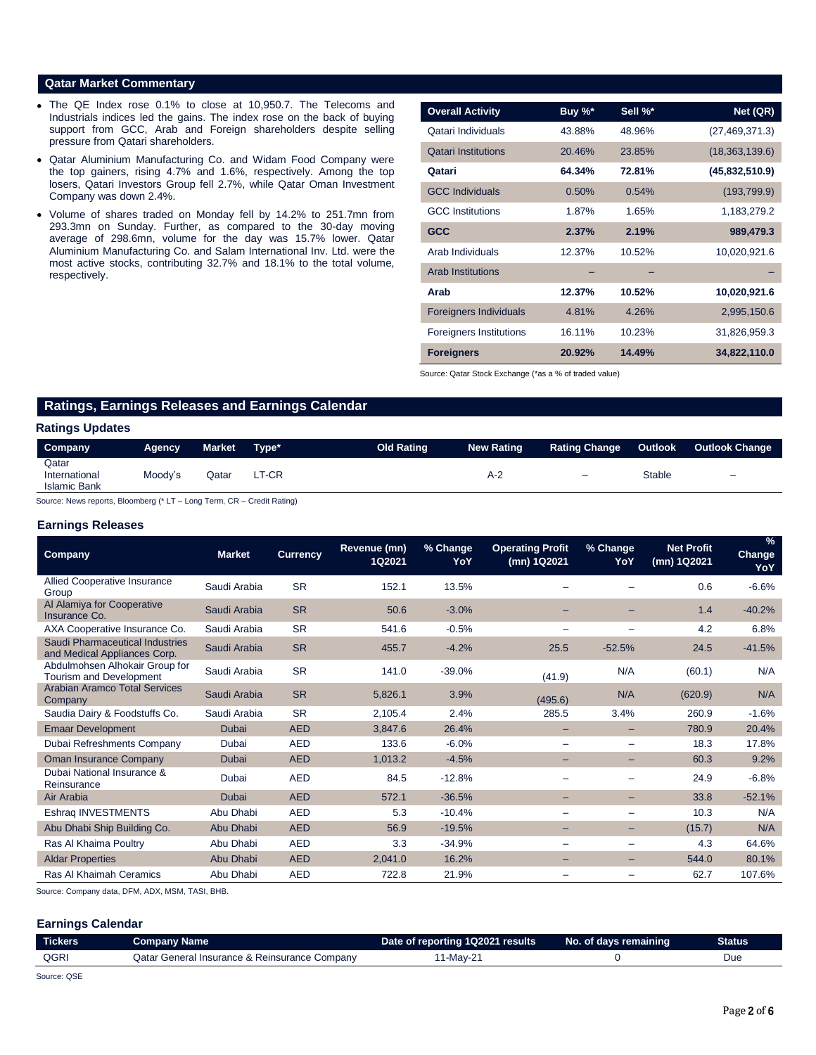# **Qatar Market Commentary**

- The QE Index rose 0.1% to close at 10,950.7. The Telecoms and Industrials indices led the gains. The index rose on the back of buying support from GCC, Arab and Foreign shareholders despite selling pressure from Qatari shareholders.
- Qatar Aluminium Manufacturing Co. and Widam Food Company were the top gainers, rising 4.7% and 1.6%, respectively. Among the top losers, Qatari Investors Group fell 2.7%, while Qatar Oman Investment Company was down 2.4%.
- Volume of shares traded on Monday fell by 14.2% to 251.7mn from 293.3mn on Sunday. Further, as compared to the 30-day moving average of 298.6mn, volume for the day was 15.7% lower. Qatar Aluminium Manufacturing Co. and Salam International Inv. Ltd. were the most active stocks, contributing 32.7% and 18.1% to the total volume, respectively.

| <b>Overall Activity</b>        | Buy %* | Sell %* | Net (QR)         |
|--------------------------------|--------|---------|------------------|
| Qatari Individuals             | 43.88% | 48.96%  | (27, 469, 371.3) |
| <b>Qatari Institutions</b>     | 20.46% | 23.85%  | (18,363,139.6)   |
| Qatari                         | 64.34% | 72.81%  | (45,832,510.9)   |
| <b>GCC Individuals</b>         | 0.50%  | 0.54%   | (193, 799.9)     |
| <b>GCC</b> Institutions        | 1.87%  | 1.65%   | 1,183,279.2      |
| <b>GCC</b>                     | 2.37%  | 2.19%   | 989,479.3        |
| Arab Individuals               | 12.37% | 10.52%  | 10,020,921.6     |
| <b>Arab Institutions</b>       |        |         |                  |
| Arab                           | 12.37% | 10.52%  | 10,020,921.6     |
| <b>Foreigners Individuals</b>  | 4.81%  | 4.26%   | 2,995,150.6      |
| <b>Foreigners Institutions</b> | 16.11% | 10.23%  | 31,826,959.3     |
| <b>Foreigners</b>              | 20.92% | 14.49%  | 34,822,110.0     |

Source: Qatar Stock Exchange (\*as a % of traded value)

# **Ratings, Earnings Releases and Earnings Calendar**

# **Ratings Updates**

| Company                                       | Agency  | <b>Market</b> | Type* | <b>Old Rating</b> | <b>New Rating</b> | <b>Rating Change</b> | Outlook | <b>Outlook Change</b> |
|-----------------------------------------------|---------|---------------|-------|-------------------|-------------------|----------------------|---------|-----------------------|
| Qatar<br>International<br><b>Islamic Bank</b> | Moody's | วatar         | LT-CR |                   | A-2               | -                    | Stable  | -                     |

Source: News reports, Bloomberg (\* LT – Long Term, CR – Credit Rating)

## **Earnings Releases**

| <b>Company</b>                                                   | <b>Market</b> | <b>Currency</b> | Revenue (mn)<br>1Q2021 | % Change<br>YoY | <b>Operating Profit</b><br>(mn) 1Q2021 | % Change<br>YoY          | <b>Net Profit</b><br>(mn) 1Q2021 | $\frac{9}{6}$<br><b>Change</b><br>YoY |
|------------------------------------------------------------------|---------------|-----------------|------------------------|-----------------|----------------------------------------|--------------------------|----------------------------------|---------------------------------------|
| <b>Allied Cooperative Insurance</b><br>Group                     | Saudi Arabia  | <b>SR</b>       | 152.1                  | 13.5%           |                                        |                          | 0.6                              | $-6.6%$                               |
| Al Alamiya for Cooperative<br>Insurance Co.                      | Saudi Arabia  | <b>SR</b>       | 50.6                   | $-3.0%$         |                                        |                          | 1.4                              | $-40.2%$                              |
| AXA Cooperative Insurance Co.                                    | Saudi Arabia  | <b>SR</b>       | 541.6                  | $-0.5%$         |                                        |                          | 4.2                              | 6.8%                                  |
| Saudi Pharmaceutical Industries<br>and Medical Appliances Corp.  | Saudi Arabia  | <b>SR</b>       | 455.7                  | $-4.2%$         | 25.5                                   | $-52.5%$                 | 24.5                             | $-41.5%$                              |
| Abdulmohsen Alhokair Group for<br><b>Tourism and Development</b> | Saudi Arabia  | <b>SR</b>       | 141.0                  | $-39.0%$        | (41.9)                                 | N/A                      | (60.1)                           | N/A                                   |
| <b>Arabian Aramco Total Services</b><br>Company                  | Saudi Arabia  | <b>SR</b>       | 5,826.1                | 3.9%            | (495.6)                                | N/A                      | (620.9)                          | N/A                                   |
| Saudia Dairy & Foodstuffs Co.                                    | Saudi Arabia  | <b>SR</b>       | 2,105.4                | 2.4%            | 285.5                                  | 3.4%                     | 260.9                            | $-1.6%$                               |
| <b>Emaar Development</b>                                         | Dubai         | <b>AED</b>      | 3,847.6                | 26.4%           |                                        |                          | 780.9                            | 20.4%                                 |
| Dubai Refreshments Company                                       | Dubai         | <b>AED</b>      | 133.6                  | $-6.0%$         | -                                      |                          | 18.3                             | 17.8%                                 |
| <b>Oman Insurance Company</b>                                    | Dubai         | <b>AED</b>      | 1,013.2                | $-4.5%$         |                                        | -                        | 60.3                             | 9.2%                                  |
| Dubai National Insurance &<br>Reinsurance                        | Dubai         | <b>AED</b>      | 84.5                   | $-12.8%$        |                                        |                          | 24.9                             | $-6.8%$                               |
| Air Arabia                                                       | <b>Dubai</b>  | <b>AED</b>      | 572.1                  | $-36.5%$        |                                        | -                        | 33.8                             | $-52.1%$                              |
| Eshraq INVESTMENTS                                               | Abu Dhabi     | <b>AED</b>      | 5.3                    | $-10.4%$        |                                        | $\overline{\phantom{0}}$ | 10.3                             | N/A                                   |
| Abu Dhabi Ship Building Co.                                      | Abu Dhabi     | <b>AED</b>      | 56.9                   | $-19.5%$        | -                                      | -                        | (15.7)                           | N/A                                   |
| Ras Al Khaima Poultry                                            | Abu Dhabi     | <b>AED</b>      | 3.3                    | $-34.9%$        | -                                      |                          | 4.3                              | 64.6%                                 |
| <b>Aldar Properties</b>                                          | Abu Dhabi     | <b>AED</b>      | 2,041.0                | 16.2%           | -                                      | -                        | 544.0                            | 80.1%                                 |
| Ras Al Khaimah Ceramics                                          | Abu Dhabi     | <b>AED</b>      | 722.8                  | 21.9%           | -                                      | $\qquad \qquad$          | 62.7                             | 107.6%                                |

Source: Company data, DFM, ADX, MSM, TASI, BHB.

# **Earnings Calendar**

|                | Company Name                              | Date of reporting 1Q2021 results | No. of days remaining | Status |
|----------------|-------------------------------------------|----------------------------------|-----------------------|--------|
| QGR<br>Jatar ⊑ | r General Insurance & Reinsurance Company | -Mav-21                          |                       | Due    |

Source: QSE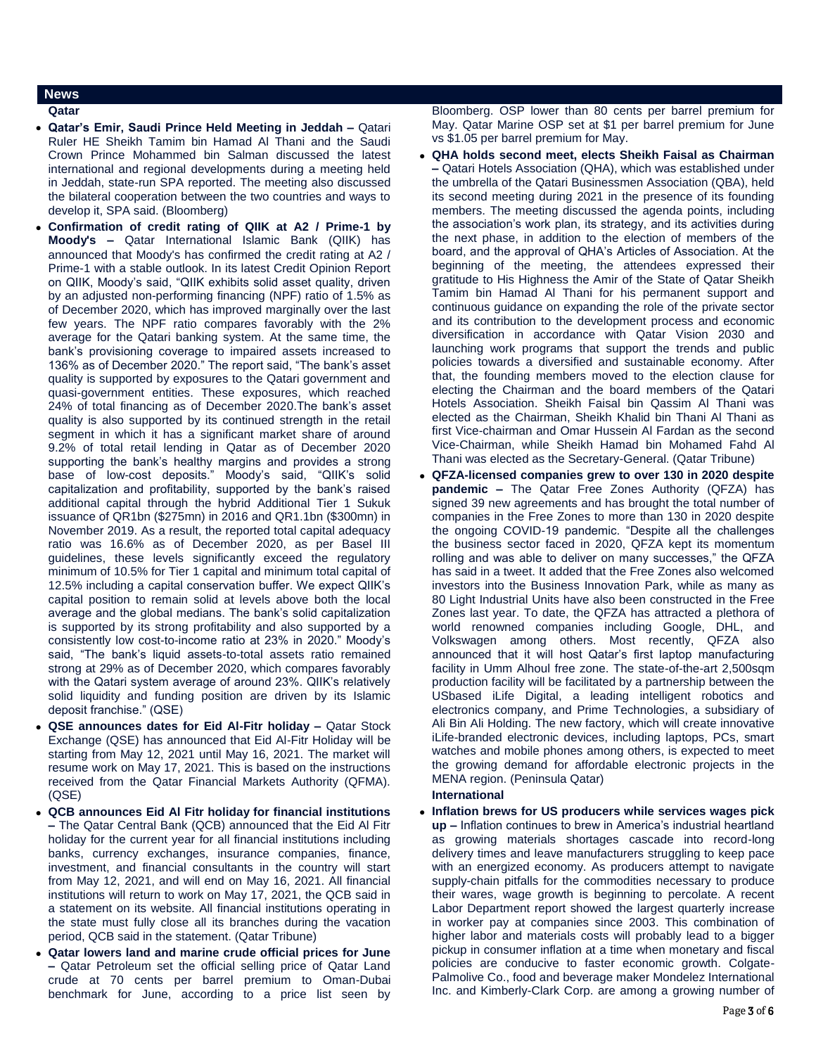# **News**

- **Qatar**
- **Qatar's Emir, Saudi Prince Held Meeting in Jeddah –** Qatari Ruler HE Sheikh Tamim bin Hamad Al Thani and the Saudi Crown Prince Mohammed bin Salman discussed the latest international and regional developments during a meeting held in Jeddah, state-run SPA reported. The meeting also discussed the bilateral cooperation between the two countries and ways to develop it, SPA said. (Bloomberg)
- **Confirmation of credit rating of QIIK at A2 / Prime-1 by Moody's –** Qatar International Islamic Bank (QIIK) has announced that Moody's has confirmed the credit rating at A2 / Prime-1 with a stable outlook. In its latest Credit Opinion Report on QIIK, Moody's said, "QIIK exhibits solid asset quality, driven by an adjusted non-performing financing (NPF) ratio of 1.5% as of December 2020, which has improved marginally over the last few years. The NPF ratio compares favorably with the 2% average for the Qatari banking system. At the same time, the bank's provisioning coverage to impaired assets increased to 136% as of December 2020." The report said, "The bank's asset quality is supported by exposures to the Qatari government and quasi-government entities. These exposures, which reached 24% of total financing as of December 2020.The bank's asset quality is also supported by its continued strength in the retail segment in which it has a significant market share of around 9.2% of total retail lending in Qatar as of December 2020 supporting the bank's healthy margins and provides a strong base of low-cost deposits." Moody's said, "QIIK's solid capitalization and profitability, supported by the bank's raised additional capital through the hybrid Additional Tier 1 Sukuk issuance of QR1bn (\$275mn) in 2016 and QR1.1bn (\$300mn) in November 2019. As a result, the reported total capital adequacy ratio was 16.6% as of December 2020, as per Basel III guidelines, these levels significantly exceed the regulatory minimum of 10.5% for Tier 1 capital and minimum total capital of 12.5% including a capital conservation buffer. We expect QIIK's capital position to remain solid at levels above both the local average and the global medians. The bank's solid capitalization is supported by its strong profitability and also supported by a consistently low cost-to-income ratio at 23% in 2020." Moody's said, "The bank's liquid assets-to-total assets ratio remained strong at 29% as of December 2020, which compares favorably with the Qatari system average of around 23%. QIIK's relatively solid liquidity and funding position are driven by its Islamic deposit franchise." (QSE)
- **QSE announces dates for Eid Al-Fitr holiday –** Qatar Stock Exchange (QSE) has announced that Eid Al-Fitr Holiday will be starting from May 12, 2021 until May 16, 2021. The market will resume work on May 17, 2021. This is based on the instructions received from the Qatar Financial Markets Authority (QFMA). (QSE)
- **QCB announces Eid Al Fitr holiday for financial institutions –** The Qatar Central Bank (QCB) announced that the Eid Al Fitr holiday for the current year for all financial institutions including banks, currency exchanges, insurance companies, finance, investment, and financial consultants in the country will start from May 12, 2021, and will end on May 16, 2021. All financial institutions will return to work on May 17, 2021, the QCB said in a statement on its website. All financial institutions operating in the state must fully close all its branches during the vacation period, QCB said in the statement. (Qatar Tribune)
- **Qatar lowers land and marine crude official prices for June –** Qatar Petroleum set the official selling price of Qatar Land crude at 70 cents per barrel premium to Oman-Dubai benchmark for June, according to a price list seen by

Bloomberg. OSP lower than 80 cents per barrel premium for May. Qatar Marine OSP set at \$1 per barrel premium for June vs \$1.05 per barrel premium for May.

- **QHA holds second meet, elects Sheikh Faisal as Chairman –** Qatari Hotels Association (QHA), which was established under the umbrella of the Qatari Businessmen Association (QBA), held its second meeting during 2021 in the presence of its founding members. The meeting discussed the agenda points, including the association's work plan, its strategy, and its activities during the next phase, in addition to the election of members of the board, and the approval of QHA's Articles of Association. At the beginning of the meeting, the attendees expressed their gratitude to His Highness the Amir of the State of Qatar Sheikh Tamim bin Hamad Al Thani for his permanent support and continuous guidance on expanding the role of the private sector and its contribution to the development process and economic diversification in accordance with Qatar Vision 2030 and launching work programs that support the trends and public policies towards a diversified and sustainable economy. After that, the founding members moved to the election clause for electing the Chairman and the board members of the Qatari Hotels Association. Sheikh Faisal bin Qassim Al Thani was elected as the Chairman, Sheikh Khalid bin Thani Al Thani as first Vice-chairman and Omar Hussein Al Fardan as the second Vice-Chairman, while Sheikh Hamad bin Mohamed Fahd Al Thani was elected as the Secretary-General. (Qatar Tribune)
- **QFZA-licensed companies grew to over 130 in 2020 despite pandemic –** The Qatar Free Zones Authority (QFZA) has signed 39 new agreements and has brought the total number of companies in the Free Zones to more than 130 in 2020 despite the ongoing COVID-19 pandemic. "Despite all the challenges the business sector faced in 2020, QFZA kept its momentum rolling and was able to deliver on many successes," the QFZA has said in a tweet. It added that the Free Zones also welcomed investors into the Business Innovation Park, while as many as 80 Light Industrial Units have also been constructed in the Free Zones last year. To date, the QFZA has attracted a plethora of world renowned companies including Google, DHL, and Volkswagen among others. Most recently, QFZA also announced that it will host Qatar's first laptop manufacturing facility in Umm Alhoul free zone. The state-of-the-art 2,500sqm production facility will be facilitated by a partnership between the USbased iLife Digital, a leading intelligent robotics and electronics company, and Prime Technologies, a subsidiary of Ali Bin Ali Holding. The new factory, which will create innovative iLife-branded electronic devices, including laptops, PCs, smart watches and mobile phones among others, is expected to meet the growing demand for affordable electronic projects in the MENA region. (Peninsula Qatar)

# **International**

 **Inflation brews for US producers while services wages pick up –** Inflation continues to brew in America's industrial heartland as growing materials shortages cascade into record-long delivery times and leave manufacturers struggling to keep pace with an energized economy. As producers attempt to navigate supply-chain pitfalls for the commodities necessary to produce their wares, wage growth is beginning to percolate. A recent Labor Department report showed the largest quarterly increase in worker pay at companies since 2003. This combination of higher labor and materials costs will probably lead to a bigger pickup in consumer inflation at a time when monetary and fiscal policies are conducive to faster economic growth. Colgate-Palmolive Co., food and beverage maker Mondelez International Inc. and Kimberly-Clark Corp. are among a growing number of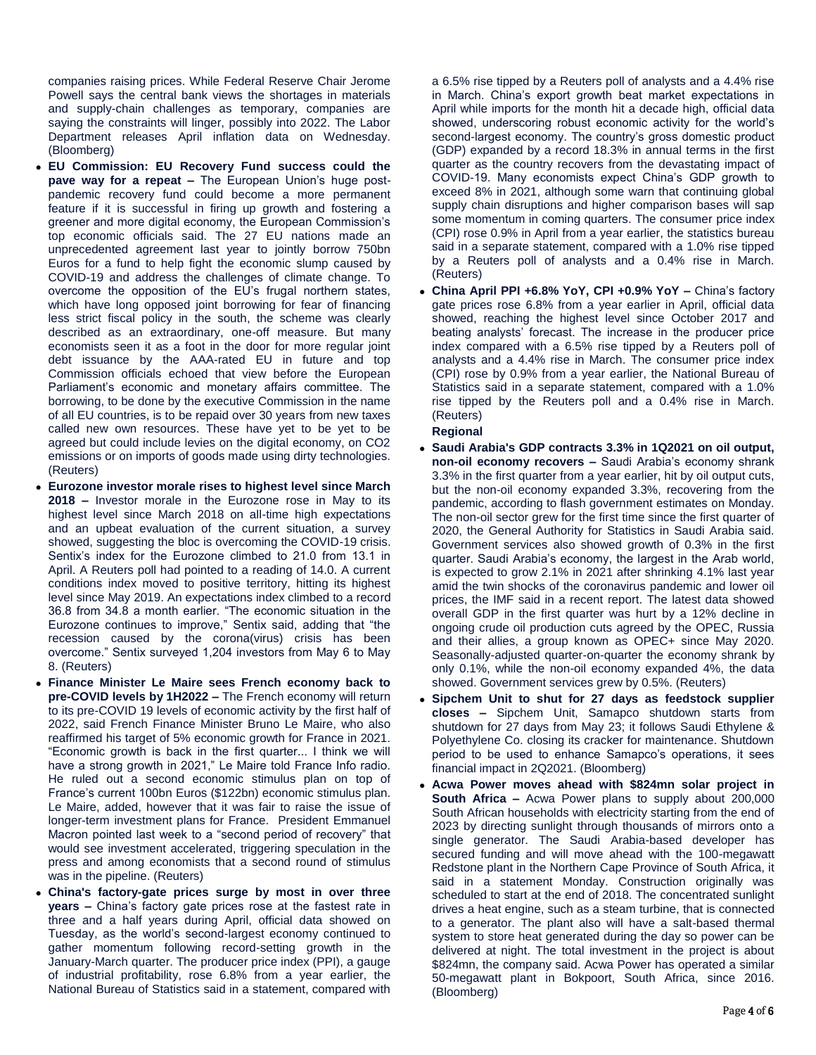companies raising prices. While Federal Reserve Chair Jerome Powell says the central bank views the shortages in materials and supply-chain challenges as temporary, companies are saying the constraints will linger, possibly into 2022. The Labor Department releases April inflation data on Wednesday. (Bloomberg)

- **EU Commission: EU Recovery Fund success could the pave way for a repeat –** The European Union's huge postpandemic recovery fund could become a more permanent feature if it is successful in firing up growth and fostering a greener and more digital economy, the European Commission's top economic officials said. The 27 EU nations made an unprecedented agreement last year to jointly borrow 750bn Euros for a fund to help fight the economic slump caused by COVID-19 and address the challenges of climate change. To overcome the opposition of the EU's frugal northern states, which have long opposed joint borrowing for fear of financing less strict fiscal policy in the south, the scheme was clearly described as an extraordinary, one-off measure. But many economists seen it as a foot in the door for more regular joint debt issuance by the AAA-rated EU in future and top Commission officials echoed that view before the European Parliament's economic and monetary affairs committee. The borrowing, to be done by the executive Commission in the name of all EU countries, is to be repaid over 30 years from new taxes called new own resources. These have yet to be yet to be agreed but could include levies on the digital economy, on CO2 emissions or on imports of goods made using dirty technologies. (Reuters)
- **Eurozone investor morale rises to highest level since March 2018 –** Investor morale in the Eurozone rose in May to its highest level since March 2018 on all-time high expectations and an upbeat evaluation of the current situation, a survey showed, suggesting the bloc is overcoming the COVID-19 crisis. Sentix's index for the Eurozone climbed to 21.0 from 13.1 in April. A Reuters poll had pointed to a reading of 14.0. A current conditions index moved to positive territory, hitting its highest level since May 2019. An expectations index climbed to a record 36.8 from 34.8 a month earlier. "The economic situation in the Eurozone continues to improve," Sentix said, adding that "the recession caused by the corona(virus) crisis has been overcome." Sentix surveyed 1,204 investors from May 6 to May 8. (Reuters)
- **Finance Minister Le Maire sees French economy back to pre-COVID levels by 1H2022 –** The French economy will return to its pre-COVID 19 levels of economic activity by the first half of 2022, said French Finance Minister Bruno Le Maire, who also reaffirmed his target of 5% economic growth for France in 2021. "Economic growth is back in the first quarter... I think we will have a strong growth in 2021," Le Maire told France Info radio. He ruled out a second economic stimulus plan on top of France's current 100bn Euros (\$122bn) economic stimulus plan. Le Maire, added, however that it was fair to raise the issue of longer-term investment plans for France. President Emmanuel Macron pointed last week to a "second period of recovery" that would see investment accelerated, triggering speculation in the press and among economists that a second round of stimulus was in the pipeline. (Reuters)
- **China's factory-gate prices surge by most in over three years –** China's factory gate prices rose at the fastest rate in three and a half years during April, official data showed on Tuesday, as the world's second-largest economy continued to gather momentum following record-setting growth in the January-March quarter. The producer price index (PPI), a gauge of industrial profitability, rose 6.8% from a year earlier, the National Bureau of Statistics said in a statement, compared with

a 6.5% rise tipped by a Reuters poll of analysts and a 4.4% rise in March. China's export growth beat market expectations in April while imports for the month hit a decade high, official data showed, underscoring robust economic activity for the world's second-largest economy. The country's gross domestic product (GDP) expanded by a record 18.3% in annual terms in the first quarter as the country recovers from the devastating impact of COVID-19. Many economists expect China's GDP growth to exceed 8% in 2021, although some warn that continuing global supply chain disruptions and higher comparison bases will sap some momentum in coming quarters. The consumer price index (CPI) rose 0.9% in April from a year earlier, the statistics bureau said in a separate statement, compared with a 1.0% rise tipped by a Reuters poll of analysts and a 0.4% rise in March. (Reuters)

 **China April PPI +6.8% YoY, CPI +0.9% YoY –** China's factory gate prices rose 6.8% from a year earlier in April, official data showed, reaching the highest level since October 2017 and beating analysts' forecast. The increase in the producer price index compared with a 6.5% rise tipped by a Reuters poll of analysts and a 4.4% rise in March. The consumer price index (CPI) rose by 0.9% from a year earlier, the National Bureau of Statistics said in a separate statement, compared with a 1.0% rise tipped by the Reuters poll and a 0.4% rise in March. (Reuters)

# **Regional**

- **Saudi Arabia's GDP contracts 3.3% in 1Q2021 on oil output, non-oil economy recovers –** Saudi Arabia's economy shrank 3.3% in the first quarter from a year earlier, hit by oil output cuts, but the non-oil economy expanded 3.3%, recovering from the pandemic, according to flash government estimates on Monday. The non-oil sector grew for the first time since the first quarter of 2020, the General Authority for Statistics in Saudi Arabia said. Government services also showed growth of 0.3% in the first quarter. Saudi Arabia's economy, the largest in the Arab world, is expected to grow 2.1% in 2021 after shrinking 4.1% last year amid the twin shocks of the coronavirus pandemic and lower oil prices, the IMF said in a recent report. The latest data showed overall GDP in the first quarter was hurt by a 12% decline in ongoing crude oil production cuts agreed by the OPEC, Russia and their allies, a group known as OPEC+ since May 2020. Seasonally-adjusted quarter-on-quarter the economy shrank by only 0.1%, while the non-oil economy expanded 4%, the data showed. Government services grew by 0.5%. (Reuters)
- **Sipchem Unit to shut for 27 days as feedstock supplier closes –** Sipchem Unit, Samapco shutdown starts from shutdown for 27 days from May 23; it follows Saudi Ethylene & Polyethylene Co. closing its cracker for maintenance. Shutdown period to be used to enhance Samapco's operations, it sees financial impact in 2Q2021. (Bloomberg)
- **Acwa Power moves ahead with \$824mn solar project in South Africa –** Acwa Power plans to supply about 200,000 South African households with electricity starting from the end of 2023 by directing sunlight through thousands of mirrors onto a single generator. The Saudi Arabia-based developer has secured funding and will move ahead with the 100-megawatt Redstone plant in the Northern Cape Province of South Africa, it said in a statement Monday. Construction originally was scheduled to start at the end of 2018. The concentrated sunlight drives a heat engine, such as a steam turbine, that is connected to a generator. The plant also will have a salt-based thermal system to store heat generated during the day so power can be delivered at night. The total investment in the project is about \$824mn, the company said. Acwa Power has operated a similar 50-megawatt plant in Bokpoort, South Africa, since 2016. (Bloomberg)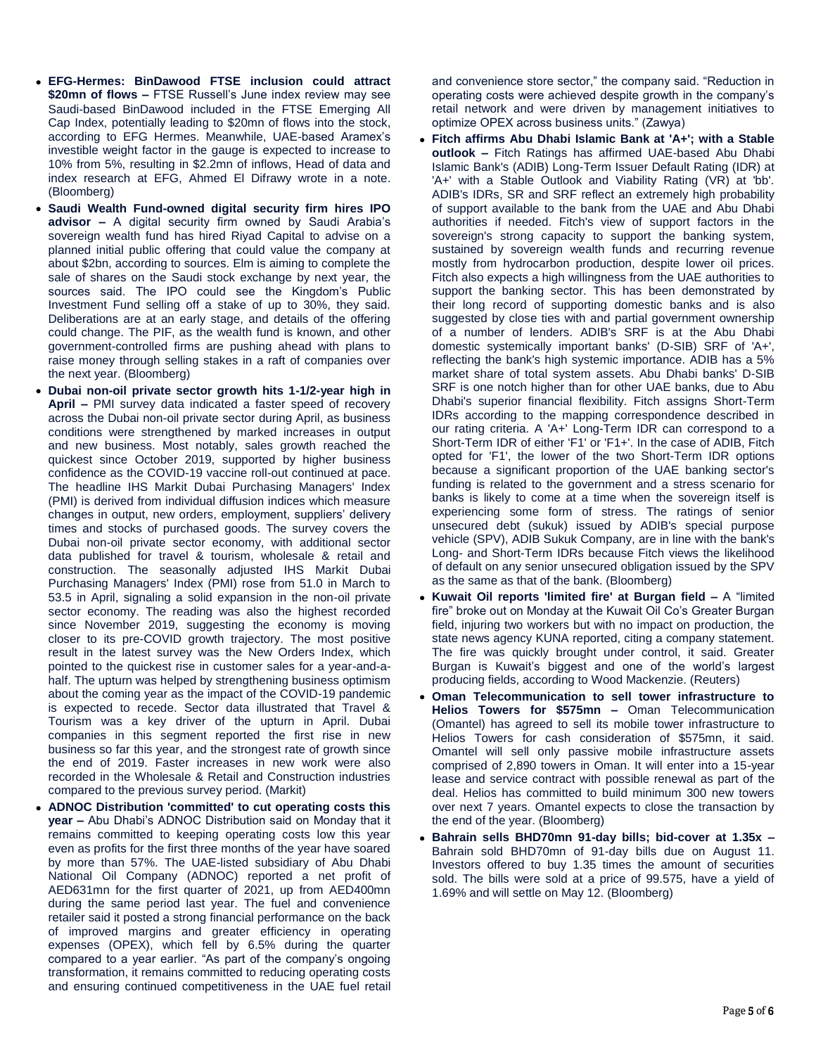- **EFG-Hermes: BinDawood FTSE inclusion could attract \$20mn of flows –** FTSE Russell's June index review may see Saudi-based BinDawood included in the FTSE Emerging All Cap Index, potentially leading to \$20mn of flows into the stock, according to EFG Hermes. Meanwhile, UAE-based Aramex's investible weight factor in the gauge is expected to increase to 10% from 5%, resulting in \$2.2mn of inflows, Head of data and index research at EFG, Ahmed El Difrawy wrote in a note. (Bloomberg)
- **Saudi Wealth Fund-owned digital security firm hires IPO advisor –** A digital security firm owned by Saudi Arabia's sovereign wealth fund has hired Riyad Capital to advise on a planned initial public offering that could value the company at about \$2bn, according to sources. Elm is aiming to complete the sale of shares on the Saudi stock exchange by next year, the sources said. The IPO could see the Kingdom's Public Investment Fund selling off a stake of up to 30%, they said. Deliberations are at an early stage, and details of the offering could change. The PIF, as the wealth fund is known, and other government-controlled firms are pushing ahead with plans to raise money through selling stakes in a raft of companies over the next year. (Bloomberg)
- **Dubai non-oil private sector growth hits 1-1/2-year high in April –** PMI survey data indicated a faster speed of recovery across the Dubai non-oil private sector during April, as business conditions were strengthened by marked increases in output and new business. Most notably, sales growth reached the quickest since October 2019, supported by higher business confidence as the COVID-19 vaccine roll-out continued at pace. The headline IHS Markit Dubai Purchasing Managers' Index (PMI) is derived from individual diffusion indices which measure changes in output, new orders, employment, suppliers' delivery times and stocks of purchased goods. The survey covers the Dubai non-oil private sector economy, with additional sector data published for travel & tourism, wholesale & retail and construction. The seasonally adjusted IHS Markit Dubai Purchasing Managers' Index (PMI) rose from 51.0 in March to 53.5 in April, signaling a solid expansion in the non-oil private sector economy. The reading was also the highest recorded since November 2019, suggesting the economy is moving closer to its pre-COVID growth trajectory. The most positive result in the latest survey was the New Orders Index, which pointed to the quickest rise in customer sales for a year-and-ahalf. The upturn was helped by strengthening business optimism about the coming year as the impact of the COVID-19 pandemic is expected to recede. Sector data illustrated that Travel & Tourism was a key driver of the upturn in April. Dubai companies in this segment reported the first rise in new business so far this year, and the strongest rate of growth since the end of 2019. Faster increases in new work were also recorded in the Wholesale & Retail and Construction industries compared to the previous survey period. (Markit)
- **ADNOC Distribution 'committed' to cut operating costs this year –** Abu Dhabi's ADNOC Distribution said on Monday that it remains committed to keeping operating costs low this year even as profits for the first three months of the year have soared by more than 57%. The UAE-listed subsidiary of Abu Dhabi National Oil Company (ADNOC) reported a net profit of AED631mn for the first quarter of 2021, up from AED400mn during the same period last year. The fuel and convenience retailer said it posted a strong financial performance on the back of improved margins and greater efficiency in operating expenses (OPEX), which fell by 6.5% during the quarter compared to a year earlier. "As part of the company's ongoing transformation, it remains committed to reducing operating costs and ensuring continued competitiveness in the UAE fuel retail

and convenience store sector," the company said. "Reduction in operating costs were achieved despite growth in the company's retail network and were driven by management initiatives to optimize OPEX across business units." (Zawya)

- **Fitch affirms Abu Dhabi Islamic Bank at 'A+'; with a Stable outlook –** Fitch Ratings has affirmed UAE-based Abu Dhabi Islamic Bank's (ADIB) Long-Term Issuer Default Rating (IDR) at 'A+' with a Stable Outlook and Viability Rating (VR) at 'bb'. ADIB's IDRs, SR and SRF reflect an extremely high probability of support available to the bank from the UAE and Abu Dhabi authorities if needed. Fitch's view of support factors in the sovereign's strong capacity to support the banking system, sustained by sovereign wealth funds and recurring revenue mostly from hydrocarbon production, despite lower oil prices. Fitch also expects a high willingness from the UAE authorities to support the banking sector. This has been demonstrated by their long record of supporting domestic banks and is also suggested by close ties with and partial government ownership of a number of lenders. ADIB's SRF is at the Abu Dhabi domestic systemically important banks' (D-SIB) SRF of 'A+', reflecting the bank's high systemic importance. ADIB has a 5% market share of total system assets. Abu Dhabi banks' D-SIB SRF is one notch higher than for other UAE banks, due to Abu Dhabi's superior financial flexibility. Fitch assigns Short-Term IDRs according to the mapping correspondence described in our rating criteria. A 'A+' Long-Term IDR can correspond to a Short-Term IDR of either 'F1' or 'F1+'. In the case of ADIB, Fitch opted for 'F1', the lower of the two Short-Term IDR options because a significant proportion of the UAE banking sector's funding is related to the government and a stress scenario for banks is likely to come at a time when the sovereign itself is experiencing some form of stress. The ratings of senior unsecured debt (sukuk) issued by ADIB's special purpose vehicle (SPV), ADIB Sukuk Company, are in line with the bank's Long- and Short-Term IDRs because Fitch views the likelihood of default on any senior unsecured obligation issued by the SPV as the same as that of the bank. (Bloomberg)
- **Kuwait Oil reports 'limited fire' at Burgan field –** A "limited fire" broke out on Monday at the Kuwait Oil Co's Greater Burgan field, injuring two workers but with no impact on production, the state news agency KUNA reported, citing a company statement. The fire was quickly brought under control, it said. Greater Burgan is Kuwait's biggest and one of the world's largest producing fields, according to Wood Mackenzie. (Reuters)
- **Oman Telecommunication to sell tower infrastructure to Helios Towers for \$575mn –** Oman Telecommunication (Omantel) has agreed to sell its mobile tower infrastructure to Helios Towers for cash consideration of \$575mn, it said. Omantel will sell only passive mobile infrastructure assets comprised of 2,890 towers in Oman. It will enter into a 15-year lease and service contract with possible renewal as part of the deal. Helios has committed to build minimum 300 new towers over next 7 years. Omantel expects to close the transaction by the end of the year. (Bloomberg)
- **Bahrain sells BHD70mn 91-day bills; bid-cover at 1.35x –** Bahrain sold BHD70mn of 91-day bills due on August 11. Investors offered to buy 1.35 times the amount of securities sold. The bills were sold at a price of 99.575, have a yield of 1.69% and will settle on May 12. (Bloomberg)